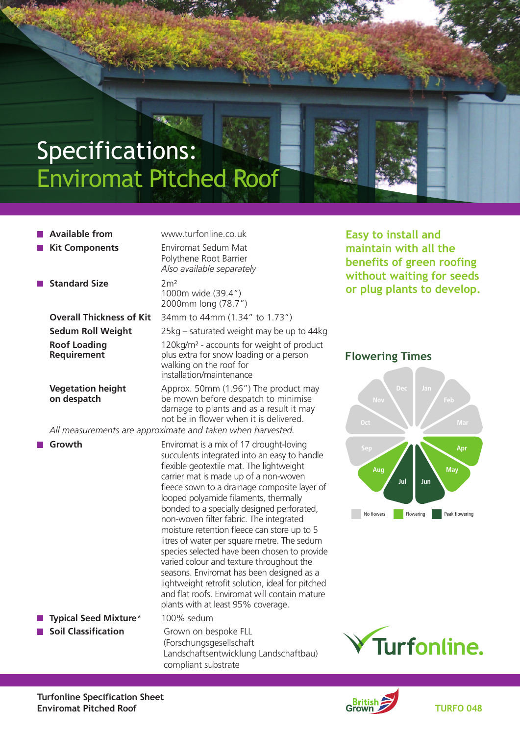# Specifications: Enviromat Pitched Roof

 **Available from** www.turfonline.co.uk **Kit Components** Enviromat Sedum Mat Polythene Root Barrier *Also available separately* **Standard Size** 2m<sup>2</sup> 1000m wide (39.4") 2000mm long (78.7") **Overall Thickness of Kit** 34mm to 44mm (1.34" to 1.73") **Sedum Roll Weight** 25kg – saturated weight may be up to 44kg **Roof Loading** 120kg/m² - accounts for weight of product **Requirement Requirement plus extra for snow loading or a person** walking on the roof for installation/maintenance **Vegetation height** Approx. 50mm (1.96") The product may<br> **on despatch** be mown before despatch to minimise **on despatch** be mown before despatch to minimise damage to plants and as a result it may not be in flower when it is delivered.

 *All measurements are approximate and taken when harvested.*

**Growth** Enviromat is a mix of 17 drought-loving succulents integrated into an easy to handle flexible geotextile mat. The lightweight carrier mat is made up of a non-woven fleece sown to a drainage composite layer of looped polyamide filaments, thermally bonded to a specially designed perforated, non-woven filter fabric. The integrated moisture retention fleece can store up to 5 litres of water per square metre. The sedum species selected have been chosen to provide varied colour and texture throughout the seasons. Enviromat has been designed as a lightweight retrofit solution, ideal for pitched and flat roofs. Enviromat will contain mature plants with at least 95% coverage. **Typical Seed Mixture**\* 100% sedum **Soil Classification** Grown on bespoke FLL (Forschungsgesellschaft Landschaftsentwicklung Landschaftbau) compliant substrate

**Easy to install and maintain with all the benefits of green roofing without waiting for seeds or plug plants to develop.**

#### **Flowering Times**